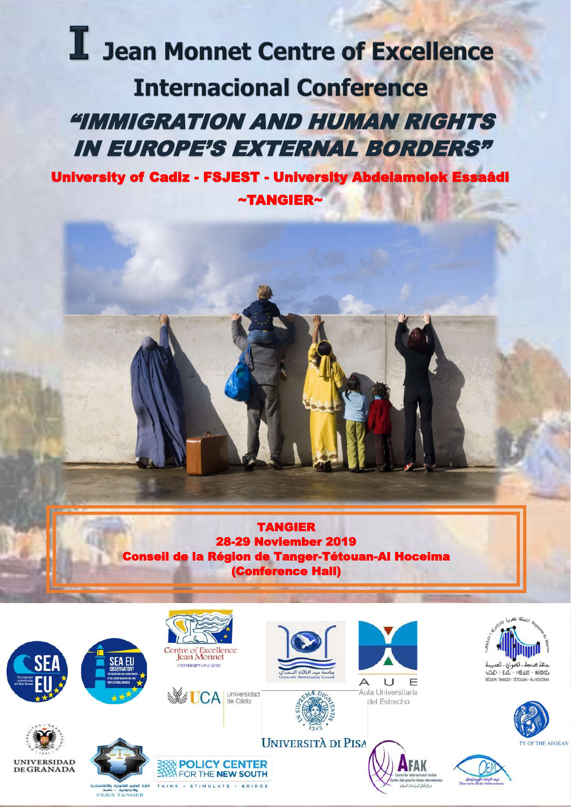# I Jean Monnet Centre of Excellence **Internacional Conference** I "IMMIGRATION AND HUMAN RIGHTS IN EUROPE'S EXTERNAL BORDERS"

University of Cadiz - FSJEST - University Abdelamelek Essaâdi ~TANGIER~



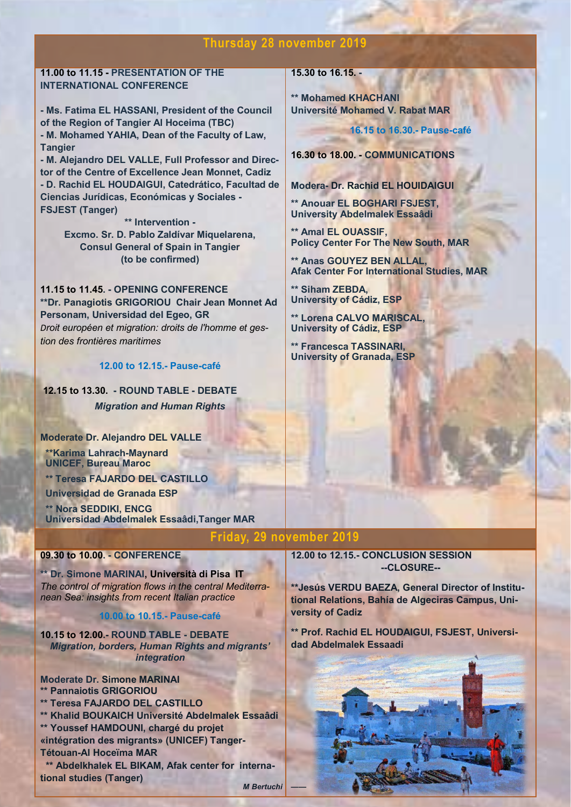## **Thursday 28 november 2019**

**11.00 to 11.15 - PRESENTATION OF THE INTERNATIONAL CONFERENCE** 

**- Ms. Fatima EL HASSANI, President of the Council of the Region of Tangier Al Hoceima (TBC) - M. Mohamed YAHIA, Dean of the Faculty of Law, Tangier** 

**- M. Alejandro DEL VALLE, Full Professor and Director of the Centre of Excellence Jean Monnet, Cadiz - D. Rachid EL HOUDAIGUI, Catedrático, Facultad de Ciencias Jurídicas, Económicas y Sociales - FSJEST (Tanger)**

> **\*\* Intervention - Excmo. Sr. D. Pablo Zaldívar Miquelarena, Consul General of Spain in Tangier (to be confirmed)**

**11.15 to 11.45. - OPENING CONFERENCE \*\*Dr. Panagiotis GRIGORIOU Chair Jean Monnet Ad Personam, Universidad del Egeo, GR** *Droit européen et migration: droits de l'homme et gestion des frontières maritimes*

**12.00 to 12.15.- Pause-café**

**12.15 to 13.30. - ROUND TABLE - DEBATE**  *Migration and Human Rights*

**Moderate Dr. Alejandro DEL VALLE**

**\*\*Karima Lahrach-Maynard UNICEF, Bureau Maroc**

**\*\* Teresa FAJARDO DEL CASTILLO**

**Universidad de Granada ESP**

**\*\* Nora SEDDIKI, ENCG Universidad Abdelmalek Essaâdi,Tanger MAR**

### **09.30 to 10.00. - CONFERENCE**

**\*\* Dr. Simone MARINAI, Università di Pisa IT**  *The control of migration flows in the central Mediterranean Sea: insights from recent Italian practice*

### **10.00 to 10.15.- Pause-café**

**10.15 to 12.00.- ROUND TABLE - DEBATE**  *Migration, borders, Human Rights and migrants' integration*

**Moderate Dr. Simone MARINAI \*\* Pannaiotis GRIGORIOU \*\* Teresa FAJARDO DEL CASTILLO \*\* Khalid BOUKAICH Université Abdelmalek Essaâdi \*\* Youssef HAMDOUNI, chargé du projet «intégration des migrants» (UNICEF) Tanger-Tétouan-Al Hoceïma MAR \*\* Abdelkhalek EL BIKAM, Afak center for international studies (Tanger)**

#### *M Bertuchi ——*

**15.30 to 16.15. -**

**\*\* Mohamed KHACHANI Université Mohamed V. Rabat MAR**

**16.15 to 16.30.- Pause-café** 

**16.30 to 18.00. - COMMUNICATIONS**

**Modera- Dr. Rachid EL HOUIDAIGUI** 

**\*\* Anouar EL BOGHARI FSJEST, University Abdelmalek Essaâdi** 

**\*\* Amal EL OUASSIF, Policy Center For The New South, MAR**

**\*\* Anas GOUYEZ BEN ALLAL, Afak Center For International Studies, MAR**

**\*\* Siham ZEBDA, University of Cádiz, ESP**

**\*\* Lorena CALVO MARISCAL, University of Cádiz, ESP**

**\*\* Francesca TASSINARI, University of Granada, ESP** 

## **Friday, 29 november 2019**

**12.00 to 12.15.- CONCLUSION SESSION --CLOSURE--**

**\*\*Jesús VERDU BAEZA, General Director of Institutional Relations, Bahía de Algeciras Campus, University of Cadiz**

**\*\* Prof. Rachid EL HOUDAIGUI, FSJEST, Universidad Abdelmalek Essaadi** 

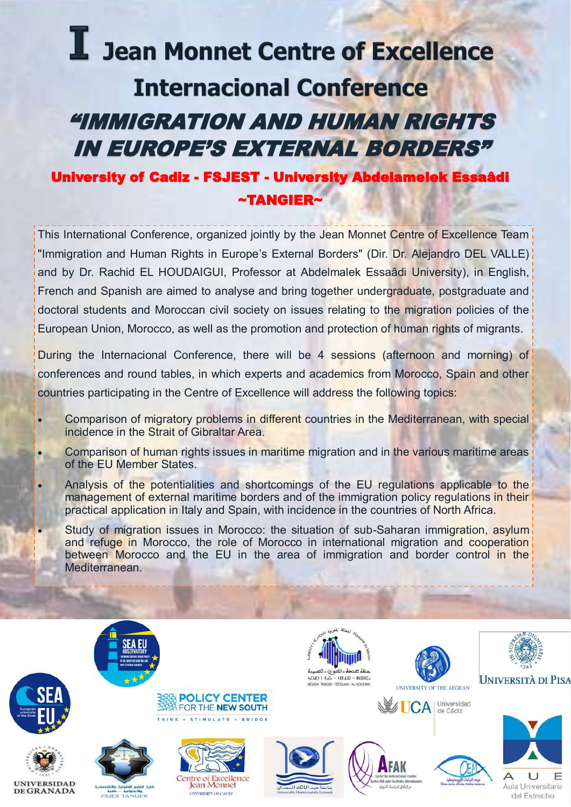# I Jean Monnet Centre of Excellence **Internacional Conference** I "IMMIGRATION AND HUMAN RIGHTS IN EUROPE'S EXTERNAL BORDERS"

# University of Cadiz - FSJEST - University Abdelamelek Essaâdi ~TANGIER~

This International Conference, organized jointly by the Jean Monnet Centre of Excellence Team "Immigration and Human Rights in Europe's External Borders" (Dir. Dr. Alejandro DEL VALLE) and by Dr. Rachid EL HOUDAIGUI, Professor at Abdelmalek Essaâdi University), in English, French and Spanish are aimed to analyse and bring together undergraduate, postgraduate and doctoral students and Moroccan civil society on issues relating to the migration policies of the European Union, Morocco, as well as the promotion and protection of human rights of migrants.

During the Internacional Conference, there will be 4 sessions (afternoon and morning) of conferences and round tables, in which experts and academics from Morocco, Spain and other countries participating in the Centre of Excellence will address the following topics:

- Comparison of migratory problems in different countries in the Mediterranean, with special incidence in the Strait of Gibraltar Area.
- Comparison of human rights issues in maritime migration and in the various maritime areas of the EU Member States.
- Analysis of the potentialities and shortcomings of the EU regulations applicable to the management of external maritime borders and of the immigration policy regulations in their practical application in Italy and Spain, with incidence in the countries of North Africa.
- Study of migration issues in Morocco: the situation of sub-Saharan immigration, asylum and refuge in Morocco, the role of Morocco in international migration and cooperation between Morocco and the EU in the area of immigration and border control in the Mediterranean.